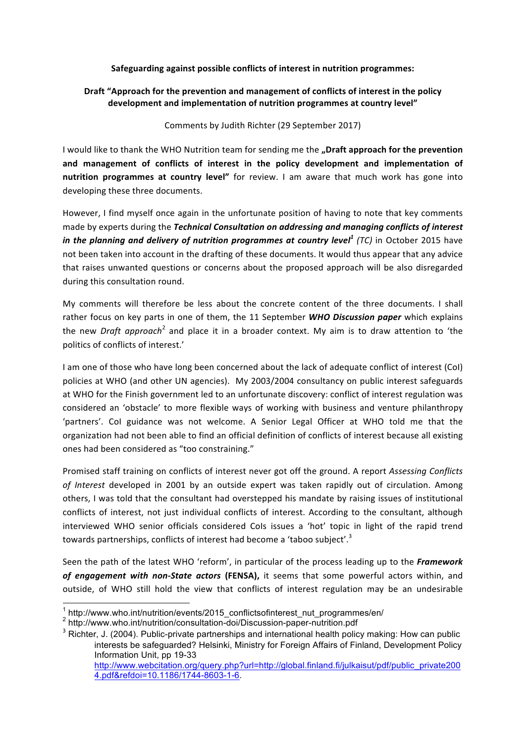## **Safeguarding against possible conflicts of interest in nutrition programmes:**

## Draft "Approach for the prevention and management of conflicts of interest in the policy development and implementation of nutrition programmes at country level"

## Comments by Judith Richter (29 September 2017)

I would like to thank the WHO Nutrition team for sending me the **"Draft approach for the prevention** and management of conflicts of interest in the policy development and implementation of **nutrition programmes at country level"** for review. I am aware that much work has gone into developing these three documents.

However, I find myself once again in the unfortunate position of having to note that key comments made by experts during the *Technical Consultation on addressing and managing conflicts of interest in the planning and delivery of nutrition programmes at country level<sup>1</sup> (TC) in October 2015 have* not been taken into account in the drafting of these documents. It would thus appear that any advice that raises unwanted questions or concerns about the proposed approach will be also disregarded during this consultation round.

My comments will therefore be less about the concrete content of the three documents. I shall rather focus on key parts in one of them, the 11 September *WHO Discussion paper* which explains the new *Draft approach*<sup>2</sup> and place it in a broader context. My aim is to draw attention to 'the politics of conflicts of interest.'

I am one of those who have long been concerned about the lack of adequate conflict of interest (CoI) policies at WHO (and other UN agencies). My 2003/2004 consultancy on public interest safeguards at WHO for the Finish government led to an unfortunate discovery: conflict of interest regulation was considered an 'obstacle' to more flexible ways of working with business and venture philanthropy 'partners'. Col guidance was not welcome. A Senior Legal Officer at WHO told me that the organization had not been able to find an official definition of conflicts of interest because all existing ones had been considered as "too constraining."

Promised staff training on conflicts of interest never got off the ground. A report Assessing Conflicts of Interest developed in 2001 by an outside expert was taken rapidly out of circulation. Among others, I was told that the consultant had overstepped his mandate by raising issues of institutional conflicts of interest, not just individual conflicts of interest. According to the consultant, although interviewed WHO senior officials considered CoIs issues a 'hot' topic in light of the rapid trend towards partnerships, conflicts of interest had become a 'taboo subject'.<sup>3</sup>

Seen the path of the latest WHO 'reform', in particular of the process leading up to the **Framework** of engagement with non-State actors (FENSA), it seems that some powerful actors within, and outside, of WHO still hold the view that conflicts of interest regulation may be an undesirable

 $1$  http://www.who.int/nutrition/events/2015 conflictsofinterest nut programmes/en/

<sup>2</sup> http://www.who.int/nutrition/consultation-doi/Discussion-paper-nutrition.pdf

<sup>&</sup>lt;sup>3</sup> Richter, J. (2004). Public-private partnerships and international health policy making: How can public interests be safeguarded? Helsinki, Ministry for Foreign Affairs of Finland, Development Policy Information Unit, pp 19-33 http://www.webcitation.org/query.php?url=http://global.finland.fi/julkaisut/pdf/public\_private200 4.pdf&refdoi=10.1186/1744-8603-1-6.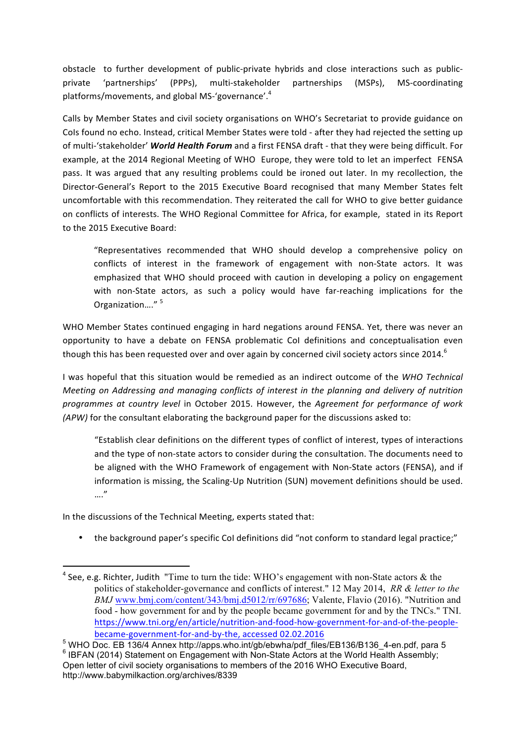obstacle to further development of public-private hybrids and close interactions such as publicprivate 'partnerships' (PPPs), multi-stakeholder partnerships (MSPs), MS-coordinating platforms/movements, and global MS-'governance'.<sup>4</sup>

Calls by Member States and civil society organisations on WHO's Secretariat to provide guidance on Cols found no echo. Instead, critical Member States were told - after they had rejected the setting up of multi-'stakeholder' *World Health Forum* and a first FENSA draft - that they were being difficult. For example, at the 2014 Regional Meeting of WHO Europe, they were told to let an imperfect FENSA pass. It was argued that any resulting problems could be ironed out later. In my recollection, the Director-General's Report to the 2015 Executive Board recognised that many Member States felt uncomfortable with this recommendation. They reiterated the call for WHO to give better guidance on conflicts of interests. The WHO Regional Committee for Africa, for example, stated in its Report to the 2015 Executive Board:

"Representatives recommended that WHO should develop a comprehensive policy on conflicts of interest in the framework of engagement with non-State actors. It was emphasized that WHO should proceed with caution in developing a policy on engagement with non-State actors, as such a policy would have far-reaching implications for the Organization...."<sup>5</sup>

WHO Member States continued engaging in hard negations around FENSA. Yet, there was never an opportunity to have a debate on FENSA problematic CoI definitions and conceptualisation even though this has been requested over and over again by concerned civil society actors since 2014.<sup>6</sup>

I was hopeful that this situation would be remedied as an indirect outcome of the *WHO Technical Meeting* on Addressing and managing conflicts of interest in the planning and delivery of nutrition *programmes at country level in October 2015. However, the Agreement for performance of work (APW)* for the consultant elaborating the background paper for the discussions asked to:

"Establish clear definitions on the different types of conflict of interest, types of interactions and the type of non-state actors to consider during the consultation. The documents need to be aligned with the WHO Framework of engagement with Non-State actors (FENSA), and if information is missing, the Scaling-Up Nutrition (SUN) movement definitions should be used. …."

In the discussions of the Technical Meeting, experts stated that:

 

• the background paper's specific Col definitions did "not conform to standard legal practice;"

<sup>&</sup>lt;sup>4</sup> See, e.g. Richter, Judith "Time to turn the tide: WHO's engagement with non-State actors & the politics of stakeholder-governance and conflicts of interest." 12 May 2014, *RR & letter to the BMJ* www.bmj.com/content/343/bmj.d5012/rr/697686; Valente, Flavio (2016). "Nutrition and food - how government for and by the people became government for and by the TNCs." TNI. https://www.tni.org/en/article/nutrition-and-food-how-government-for-and-of-the-peoplebecame-government-for-and-by-the, accessed 02.02.2016<br><sup>5</sup> WHO Doc. EB 136/4 Annex http://apps.who.int/gb/ebwha/pdf files/EB136/B136 4-en.pdf, para 5

 $6$  IBFAN (2014) Statement on Engagement with Non-State Actors at the World Health Assembly; Open letter of civil society organisations to members of the 2016 WHO Executive Board, http://www.babymilkaction.org/archives/8339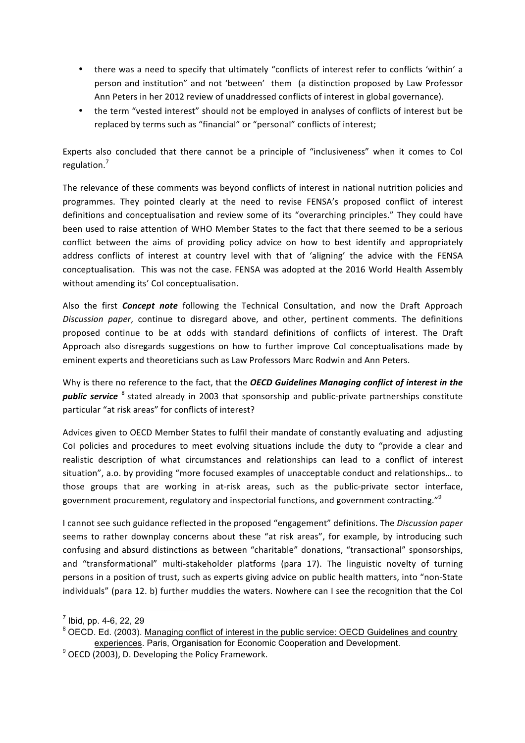- there was a need to specify that ultimately "conflicts of interest refer to conflicts 'within' a person and institution" and not 'between' them (a distinction proposed by Law Professor Ann Peters in her 2012 review of unaddressed conflicts of interest in global governance).
- the term "vested interest" should not be employed in analyses of conflicts of interest but be replaced by terms such as "financial" or "personal" conflicts of interest;

Experts also concluded that there cannot be a principle of "inclusiveness" when it comes to CoI regulation.<sup>7</sup>

The relevance of these comments was beyond conflicts of interest in national nutrition policies and programmes. They pointed clearly at the need to revise FENSA's proposed conflict of interest definitions and conceptualisation and review some of its "overarching principles." They could have been used to raise attention of WHO Member States to the fact that there seemed to be a serious conflict between the aims of providing policy advice on how to best identify and appropriately address conflicts of interest at country level with that of 'aligning' the advice with the FENSA conceptualisation. This was not the case. FENSA was adopted at the 2016 World Health Assembly without amending its' CoI conceptualisation.

Also the first *Concept note* following the Technical Consultation, and now the Draft Approach *Discussion paper*, continue to disregard above, and other, pertinent comments. The definitions proposed continue to be at odds with standard definitions of conflicts of interest. The Draft Approach also disregards suggestions on how to further improve CoI conceptualisations made by eminent experts and theoreticians such as Law Professors Marc Rodwin and Ann Peters.

Why is there no reference to the fact, that the **OECD Guidelines Managing conflict of interest in the public service** <sup>8</sup> stated already in 2003 that sponsorship and public-private partnerships constitute particular "at risk areas" for conflicts of interest?

Advices given to OECD Member States to fulfil their mandate of constantly evaluating and adjusting CoI policies and procedures to meet evolving situations include the duty to "provide a clear and realistic description of what circumstances and relationships can lead to a conflict of interest situation", a.o. by providing "more focused examples of unacceptable conduct and relationships... to those groups that are working in at-risk areas, such as the public-private sector interface, government procurement, regulatory and inspectorial functions, and government contracting."<sup>9</sup>

I cannot see such guidance reflected in the proposed "engagement" definitions. The *Discussion paper* seems to rather downplay concerns about these "at risk areas", for example, by introducing such confusing and absurd distinctions as between "charitable" donations, "transactional" sponsorships, and "transformational" multi-stakeholder platforms (para 17). The linguistic novelty of turning persons in a position of trust, such as experts giving advice on public health matters, into "non-State individuals" (para 12. b) further muddies the waters. Nowhere can I see the recognition that the CoI

 $<sup>7</sup>$  Ibid, pp. 4-6, 22, 29</sup>

<sup>&</sup>lt;sup>8</sup> OECD. Ed. (2003). Managing conflict of interest in the public service: OECD Guidelines and country experiences. Paris, Organisation for Economic Cooperation and Development.

 $9$  OECD (2003), D. Developing the Policy Framework.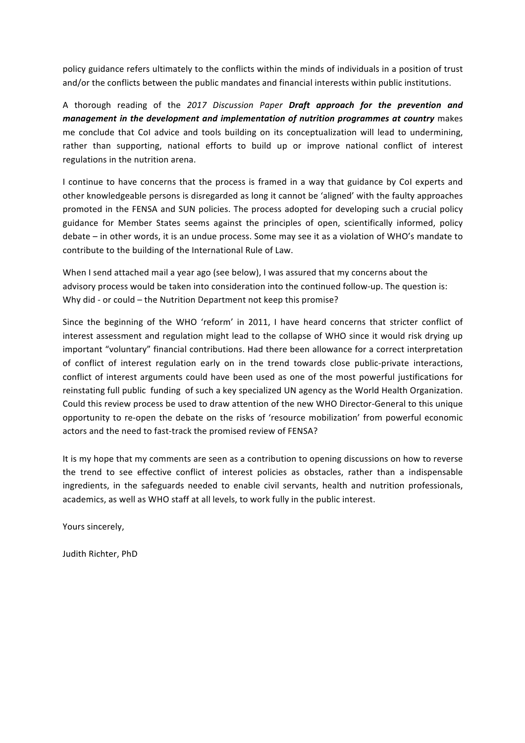policy guidance refers ultimately to the conflicts within the minds of individuals in a position of trust and/or the conflicts between the public mandates and financial interests within public institutions.

A thorough reading of the 2017 Discussion Paper Draft approach for the prevention and *management in the development and implementation of nutrition programmes at country* makes me conclude that CoI advice and tools building on its conceptualization will lead to undermining, rather than supporting, national efforts to build up or improve national conflict of interest regulations in the nutrition arena.

I continue to have concerns that the process is framed in a way that guidance by CoI experts and other knowledgeable persons is disregarded as long it cannot be 'aligned' with the faulty approaches promoted in the FENSA and SUN policies. The process adopted for developing such a crucial policy guidance for Member States seems against the principles of open, scientifically informed, policy debate – in other words, it is an undue process. Some may see it as a violation of WHO's mandate to contribute to the building of the International Rule of Law.

When I send attached mail a year ago (see below), I was assured that my concerns about the advisory process would be taken into consideration into the continued follow-up. The question is: Why did - or could  $-$  the Nutrition Department not keep this promise?

Since the beginning of the WHO 'reform' in 2011, I have heard concerns that stricter conflict of interest assessment and regulation might lead to the collapse of WHO since it would risk drying up important "voluntary" financial contributions. Had there been allowance for a correct interpretation of conflict of interest regulation early on in the trend towards close public-private interactions, conflict of interest arguments could have been used as one of the most powerful justifications for reinstating full public funding of such a key specialized UN agency as the World Health Organization. Could this review process be used to draw attention of the new WHO Director-General to this unique opportunity to re-open the debate on the risks of 'resource mobilization' from powerful economic actors and the need to fast-track the promised review of FENSA?

It is my hope that my comments are seen as a contribution to opening discussions on how to reverse the trend to see effective conflict of interest policies as obstacles, rather than a indispensable ingredients, in the safeguards needed to enable civil servants, health and nutrition professionals, academics, as well as WHO staff at all levels, to work fully in the public interest.

Yours sincerely,

Judith Richter, PhD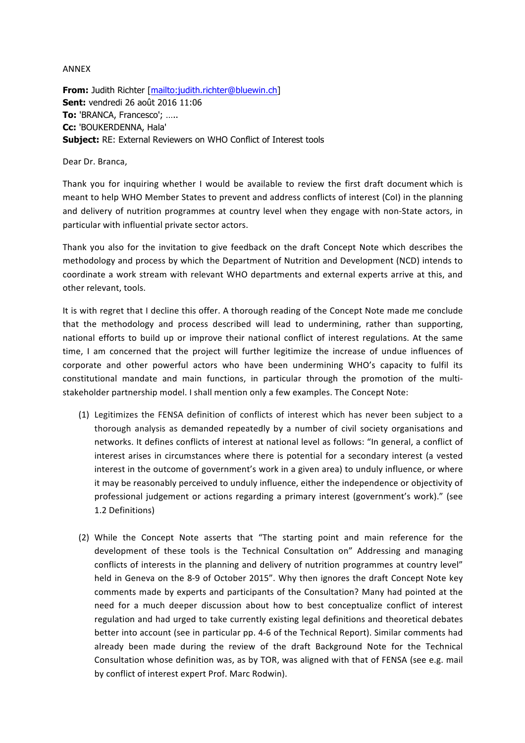ANNEX

**From:** Judith Richter [mailto:judith.richter@bluewin.ch] **Sent:** vendredi 26 août 2016 11:06 **To:** 'BRANCA, Francesco'; ….. **Cc:** 'BOUKERDENNA, Hala' **Subject:** RE: External Reviewers on WHO Conflict of Interest tools

Dear Dr. Branca.

Thank you for inquiring whether I would be available to review the first draft document which is meant to help WHO Member States to prevent and address conflicts of interest (CoI) in the planning and delivery of nutrition programmes at country level when they engage with non-State actors, in particular with influential private sector actors.

Thank vou also for the invitation to give feedback on the draft Concept Note which describes the methodology and process by which the Department of Nutrition and Development (NCD) intends to coordinate a work stream with relevant WHO departments and external experts arrive at this, and other relevant, tools.

It is with regret that I decline this offer. A thorough reading of the Concept Note made me conclude that the methodology and process described will lead to undermining, rather than supporting, national efforts to build up or improve their national conflict of interest regulations. At the same time, I am concerned that the project will further legitimize the increase of undue influences of corporate and other powerful actors who have been undermining WHO's capacity to fulfil its constitutional mandate and main functions, in particular through the promotion of the multistakeholder partnership model. I shall mention only a few examples. The Concept Note:

- (1) Legitimizes the FENSA definition of conflicts of interest which has never been subject to a thorough analysis as demanded repeatedly by a number of civil society organisations and networks. It defines conflicts of interest at national level as follows: "In general, a conflict of interest arises in circumstances where there is potential for a secondary interest (a vested interest in the outcome of government's work in a given area) to unduly influence, or where it may be reasonably perceived to unduly influence, either the independence or objectivity of professional judgement or actions regarding a primary interest (government's work)." (see 1.2 Definitions)
- (2) While the Concept Note asserts that "The starting point and main reference for the development of these tools is the Technical Consultation on" Addressing and managing conflicts of interests in the planning and delivery of nutrition programmes at country level" held in Geneva on the 8-9 of October 2015". Why then ignores the draft Concept Note key comments made by experts and participants of the Consultation? Many had pointed at the need for a much deeper discussion about how to best conceptualize conflict of interest regulation and had urged to take currently existing legal definitions and theoretical debates better into account (see in particular pp. 4-6 of the Technical Report). Similar comments had already been made during the review of the draft Background Note for the Technical Consultation whose definition was, as by TOR, was aligned with that of FENSA (see e.g. mail by conflict of interest expert Prof. Marc Rodwin).